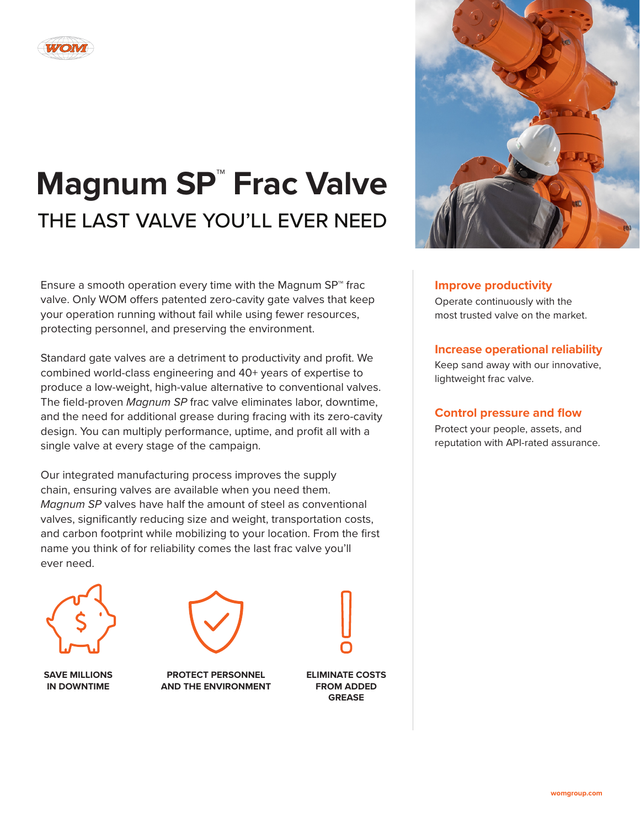

# **Magnum SP™ Frac Valve** THE LAST VALVE YOU'LL EVER NEED

Ensure a smooth operation every time with the Magnum SP™ frac valve. Only WOM offers patented zero-cavity gate valves that keep your operation running without fail while using fewer resources, protecting personnel, and preserving the environment.

Standard gate valves are a detriment to productivity and profit. We combined world-class engineering and 40+ years of expertise to produce a low-weight, high-value alternative to conventional valves. The field-proven *Magnum SP* frac valve eliminates labor, downtime, and the need for additional grease during fracing with its zero-cavity design. You can multiply performance, uptime, and profit all with a single valve at every stage of the campaign.

Our integrated manufacturing process improves the supply chain, ensuring valves are available when you need them. *Magnum SP* valves have half the amount of steel as conventional valves, significantly reducing size and weight, transportation costs, and carbon footprint while mobilizing to your location. From the first name you think of for reliability comes the last frac valve you'll ever need.



**SAVE MILLIONS IN DOWNTIME**



**PROTECT PERSONNEL AND THE ENVIRONMENT**



**ELIMINATE COSTS FROM ADDED GREASE**



# **Improve productivity**

Operate continuously with the most trusted valve on the market.

# **Increase operational reliability**

Keep sand away with our innovative, lightweight frac valve.

## **Control pressure and flow**

Protect your people, assets, and reputation with API-rated assurance.